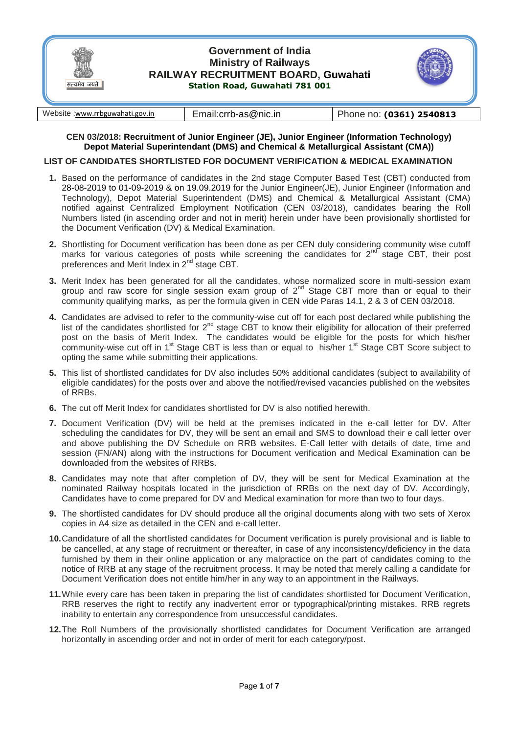

## **CEN 03/2018: Recruitment of Junior Engineer (JE), Junior Engineer (Information Technology) Depot Material Superintendant (DMS) and Chemical & Metallurgical Assistant (CMA))**

## **LIST OF CANDIDATES SHORTLISTED FOR DOCUMENT VERIFICATION & MEDICAL EXAMINATION**

- **1.** Based on the performance of candidates in the 2nd stage Computer Based Test (CBT) conducted from 28-08-2019 to 01-09-2019 & on 19.09.2019 for the Junior Engineer(JE), Junior Engineer (Information and Technology), Depot Material Superintendent (DMS) and Chemical & Metallurgical Assistant (CMA) notified against Centralized Employment Notification (CEN 03/2018), candidates bearing the Roll Numbers listed (in ascending order and not in merit) herein under have been provisionally shortlisted for the Document Verification (DV) & Medical Examination.
- **2.** Shortlisting for Document verification has been done as per CEN duly considering community wise cutoff marks for various categories of posts while screening the candidates for  $2^{nd}$  stage CBT, their post preferences and Merit Index in 2<sup>nd</sup> stage CBT.
- **3.** Merit Index has been generated for all the candidates, whose normalized score in multi-session exam group and raw score for single session exam group of  $2^{nd}$  Stage CBT more than or equal to their community qualifying marks, as per the formula given in CEN vide Paras 14.1, 2 & 3 of CEN 03/2018.
- **4.** Candidates are advised to refer to the community-wise cut off for each post declared while publishing the list of the candidates shortlisted for  $2^{nd}$  stage CBT to know their eligibility for allocation of their preferred post on the basis of Merit Index. The candidates would be eligible for the posts for which his/her community-wise cut off in 1<sup>st</sup> Stage CBT is less than or equal to his/her 1<sup>st</sup> Stage CBT Score subject to opting the same while submitting their applications.
- **5.** This list of shortlisted candidates for DV also includes 50% additional candidates (subject to availability of eligible candidates) for the posts over and above the notified/revised vacancies published on the websites of RRBs.
- **6.** The cut off Merit Index for candidates shortlisted for DV is also notified herewith.
- **7.** Document Verification (DV) will be held at the premises indicated in the e-call letter for DV. After scheduling the candidates for DV, they will be sent an email and SMS to download their e call letter over and above publishing the DV Schedule on RRB websites. E-Call letter with details of date, time and session (FN/AN) along with the instructions for Document verification and Medical Examination can be downloaded from the websites of RRBs.
- **8.** Candidates may note that after completion of DV, they will be sent for Medical Examination at the nominated Railway hospitals located in the jurisdiction of RRBs on the next day of DV. Accordingly, Candidates have to come prepared for DV and Medical examination for more than two to four days.
- **9.** The shortlisted candidates for DV should produce all the original documents along with two sets of Xerox copies in A4 size as detailed in the CEN and e-call letter.
- **10.**Candidature of all the shortlisted candidates for Document verification is purely provisional and is liable to be cancelled, at any stage of recruitment or thereafter, in case of any inconsistency/deficiency in the data furnished by them in their online application or any malpractice on the part of candidates coming to the notice of RRB at any stage of the recruitment process. It may be noted that merely calling a candidate for Document Verification does not entitle him/her in any way to an appointment in the Railways.
- **11.**While every care has been taken in preparing the list of candidates shortlisted for Document Verification, RRB reserves the right to rectify any inadvertent error or typographical/printing mistakes. RRB regrets inability to entertain any correspondence from unsuccessful candidates.
- **12.**The Roll Numbers of the provisionally shortlisted candidates for Document Verification are arranged horizontally in ascending order and not in order of merit for each category/post.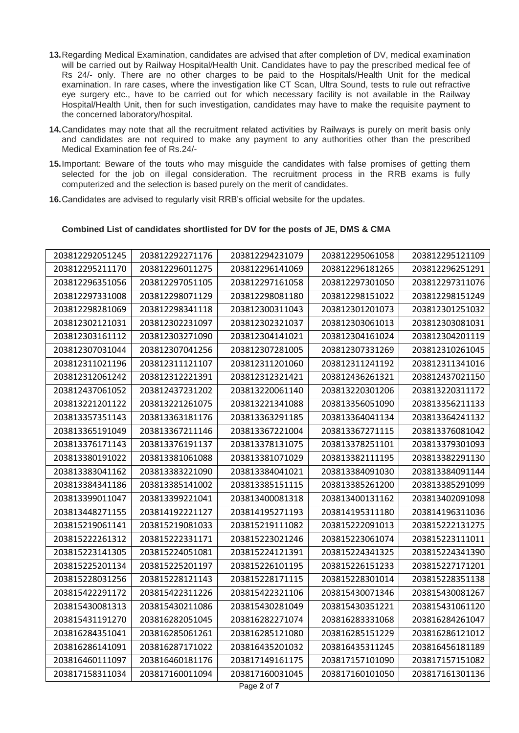- **13.**Regarding Medical Examination, candidates are advised that after completion of DV, medical examination will be carried out by Railway Hospital/Health Unit. Candidates have to pay the prescribed medical fee of Rs 24/- only. There are no other charges to be paid to the Hospitals/Health Unit for the medical examination. In rare cases, where the investigation like CT Scan, Ultra Sound, tests to rule out refractive eye surgery etc., have to be carried out for which necessary facility is not available in the Railway Hospital/Health Unit, then for such investigation, candidates may have to make the requisite payment to the concerned laboratory/hospital.
- **14.**Candidates may note that all the recruitment related activities by Railways is purely on merit basis only and candidates are not required to make any payment to any authorities other than the prescribed Medical Examination fee of Rs.24/-
- **15.**Important: Beware of the touts who may misguide the candidates with false promises of getting them selected for the job on illegal consideration. The recruitment process in the RRB exams is fully computerized and the selection is based purely on the merit of candidates.
- **16.**Candidates are advised to regularly visit RRB's official website for the updates.

## **Combined List of candidates shortlisted for DV for the posts of JE, DMS & CMA**

| 203812292051245 | 203812292271176 | 203812294231079 | 203812295061058 | 203812295121109 |
|-----------------|-----------------|-----------------|-----------------|-----------------|
| 203812295211170 | 203812296011275 | 203812296141069 | 203812296181265 | 203812296251291 |
| 203812296351056 | 203812297051105 | 203812297161058 | 203812297301050 | 203812297311076 |
| 203812297331008 | 203812298071129 | 203812298081180 | 203812298151022 | 203812298151249 |
| 203812298281069 | 203812298341118 | 203812300311043 | 203812301201073 | 203812301251032 |
| 203812302121031 | 203812302231097 | 203812302321037 | 203812303061013 | 203812303081031 |
| 203812303161112 | 203812303271090 | 203812304141021 | 203812304161024 | 203812304201119 |
| 203812307031044 | 203812307041256 | 203812307281005 | 203812307331269 | 203812310261045 |
| 203812311021196 | 203812311121107 | 203812311201060 | 203812311241192 | 203812311341016 |
| 203812312061242 | 203812312221391 | 203812312321421 | 203812436261321 | 203812437021150 |
| 203812437061052 | 203812437231202 | 203813220061140 | 203813220301206 | 203813220311172 |
| 203813221201122 | 203813221261075 | 203813221341088 | 203813356051090 | 203813356211133 |
| 203813357351143 | 203813363181176 | 203813363291185 | 203813364041134 | 203813364241132 |
| 203813365191049 | 203813367211146 | 203813367221004 | 203813367271115 | 203813376081042 |
| 203813376171143 | 203813376191137 | 203813378131075 | 203813378251101 | 203813379301093 |
| 203813380191022 | 203813381061088 | 203813381071029 | 203813382111195 | 203813382291130 |
| 203813383041162 | 203813383221090 | 203813384041021 | 203813384091030 | 203813384091144 |
| 203813384341186 | 203813385141002 | 203813385151115 | 203813385261200 | 203813385291099 |
| 203813399011047 | 203813399221041 | 203813400081318 | 203813400131162 | 203813402091098 |
| 203813448271155 | 203814192221127 | 203814195271193 | 203814195311180 | 203814196311036 |
| 203815219061141 | 203815219081033 | 203815219111082 | 203815222091013 | 203815222131275 |
| 203815222261312 | 203815222331171 | 203815223021246 | 203815223061074 | 203815223111011 |
| 203815223141305 | 203815224051081 | 203815224121391 | 203815224341325 | 203815224341390 |
| 203815225201134 | 203815225201197 | 203815226101195 | 203815226151233 | 203815227171201 |
| 203815228031256 | 203815228121143 | 203815228171115 | 203815228301014 | 203815228351138 |
| 203815422291172 | 203815422311226 | 203815422321106 | 203815430071346 | 203815430081267 |
| 203815430081313 | 203815430211086 | 203815430281049 | 203815430351221 | 203815431061120 |
| 203815431191270 | 203816282051045 | 203816282271074 | 203816283331068 | 203816284261047 |
| 203816284351041 | 203816285061261 | 203816285121080 | 203816285151229 | 203816286121012 |
| 203816286141091 | 203816287171022 | 203816435201032 | 203816435311245 | 203816456181189 |
| 203816460111097 | 203816460181176 | 203817149161175 | 203817157101090 | 203817157151082 |
| 203817158311034 | 203817160011094 | 203817160031045 | 203817160101050 | 203817161301136 |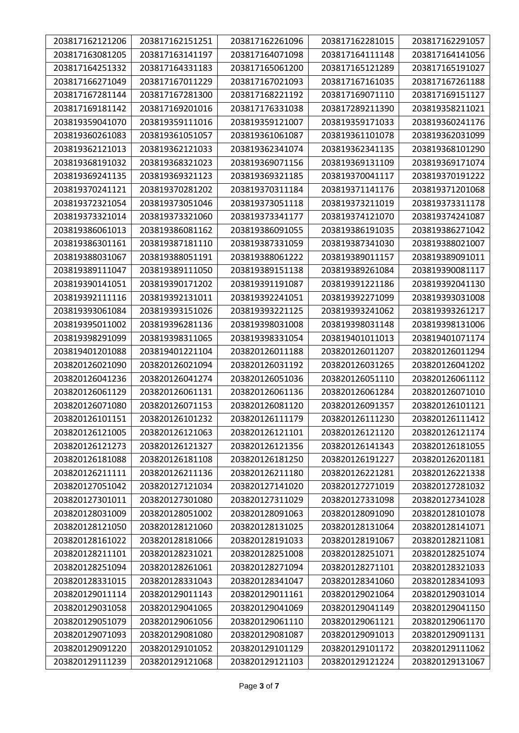| 203817162121206 | 203817162151251 | 203817162261096 | 203817162281015 | 203817162291057 |
|-----------------|-----------------|-----------------|-----------------|-----------------|
| 203817163081205 | 203817163141197 | 203817164071098 | 203817164111148 | 203817164141056 |
| 203817164251332 | 203817164331183 | 203817165061200 | 203817165121289 | 203817165191027 |
| 203817166271049 | 203817167011229 | 203817167021093 | 203817167161035 | 203817167261188 |
| 203817167281144 | 203817167281300 | 203817168221192 | 203817169071110 | 203817169151127 |
| 203817169181142 | 203817169201016 | 203817176331038 | 203817289211390 | 203819358211021 |
| 203819359041070 | 203819359111016 | 203819359121007 | 203819359171033 | 203819360241176 |
| 203819360261083 | 203819361051057 | 203819361061087 | 203819361101078 | 203819362031099 |
| 203819362121013 | 203819362121033 | 203819362341074 | 203819362341135 | 203819368101290 |
| 203819368191032 | 203819368321023 | 203819369071156 | 203819369131109 | 203819369171074 |
| 203819369241135 | 203819369321123 | 203819369321185 | 203819370041117 | 203819370191222 |
| 203819370241121 | 203819370281202 | 203819370311184 | 203819371141176 | 203819371201068 |
| 203819372321054 | 203819373051046 | 203819373051118 | 203819373211019 | 203819373311178 |
| 203819373321014 | 203819373321060 | 203819373341177 | 203819374121070 | 203819374241087 |
| 203819386061013 | 203819386081162 | 203819386091055 | 203819386191035 | 203819386271042 |
| 203819386301161 | 203819387181110 | 203819387331059 | 203819387341030 | 203819388021007 |
| 203819388031067 | 203819388051191 | 203819388061222 | 203819389011157 | 203819389091011 |
| 203819389111047 | 203819389111050 | 203819389151138 | 203819389261084 | 203819390081117 |
| 203819390141051 | 203819390171202 | 203819391191087 | 203819391221186 | 203819392041130 |
| 203819392111116 | 203819392131011 | 203819392241051 | 203819392271099 | 203819393031008 |
| 203819393061084 | 203819393151026 | 203819393221125 | 203819393241062 | 203819393261217 |
| 203819395011002 | 203819396281136 | 203819398031008 | 203819398031148 | 203819398131006 |
| 203819398291099 | 203819398311065 | 203819398331054 | 203819401011013 | 203819401071174 |
| 203819401201088 | 203819401221104 | 203820126011188 | 203820126011207 | 203820126011294 |
| 203820126021090 | 203820126021094 | 203820126031192 | 203820126031265 | 203820126041202 |
| 203820126041236 | 203820126041274 | 203820126051036 | 203820126051110 | 203820126061112 |
| 203820126061129 | 203820126061131 | 203820126061136 | 203820126061284 | 203820126071010 |
| 203820126071080 | 203820126071153 | 203820126081120 | 203820126091357 | 203820126101121 |
| 203820126101151 | 203820126101232 | 203820126111179 | 203820126111230 | 203820126111412 |
| 203820126121005 | 203820126121063 | 203820126121101 | 203820126121120 | 203820126121174 |
| 203820126121273 | 203820126121327 | 203820126121356 | 203820126141343 | 203820126181055 |
| 203820126181088 | 203820126181108 | 203820126181250 | 203820126191227 | 203820126201181 |
| 203820126211111 | 203820126211136 | 203820126211180 | 203820126221281 | 203820126221338 |
| 203820127051042 | 203820127121034 | 203820127141020 | 203820127271019 | 203820127281032 |
| 203820127301011 | 203820127301080 | 203820127311029 | 203820127331098 | 203820127341028 |
| 203820128031009 | 203820128051002 | 203820128091063 | 203820128091090 | 203820128101078 |
| 203820128121050 | 203820128121060 | 203820128131025 | 203820128131064 | 203820128141071 |
| 203820128161022 | 203820128181066 | 203820128191033 | 203820128191067 | 203820128211081 |
| 203820128211101 | 203820128231021 | 203820128251008 | 203820128251071 | 203820128251074 |
| 203820128251094 | 203820128261061 | 203820128271094 | 203820128271101 | 203820128321033 |
| 203820128331015 | 203820128331043 | 203820128341047 | 203820128341060 | 203820128341093 |
| 203820129011114 | 203820129011143 | 203820129011161 | 203820129021064 | 203820129031014 |
| 203820129031058 | 203820129041065 | 203820129041069 | 203820129041149 | 203820129041150 |
| 203820129051079 | 203820129061056 | 203820129061110 | 203820129061121 | 203820129061170 |
| 203820129071093 | 203820129081080 | 203820129081087 | 203820129091013 | 203820129091131 |
| 203820129091220 | 203820129101052 | 203820129101129 | 203820129101172 | 203820129111062 |
| 203820129111239 | 203820129121068 | 203820129121103 | 203820129121224 | 203820129131067 |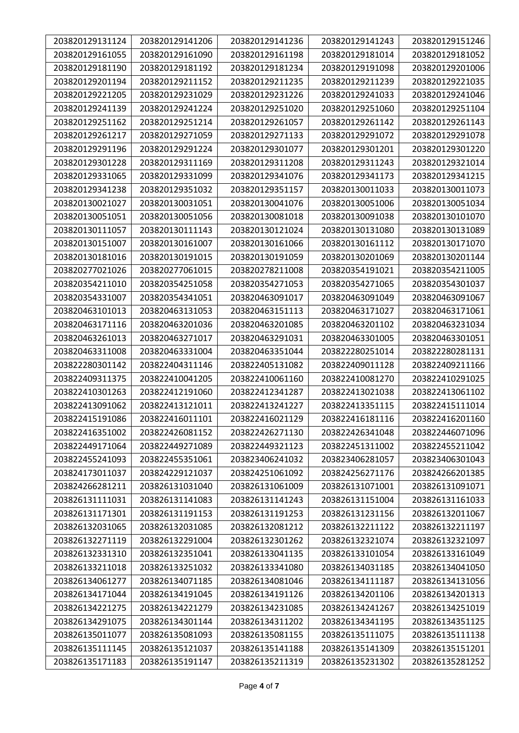| 203820129131124 | 203820129141206 | 203820129141236 | 203820129141243 | 203820129151246 |
|-----------------|-----------------|-----------------|-----------------|-----------------|
| 203820129161055 | 203820129161090 | 203820129161198 | 203820129181014 | 203820129181052 |
| 203820129181190 | 203820129181192 | 203820129181234 | 203820129191098 | 203820129201006 |
| 203820129201194 | 203820129211152 | 203820129211235 | 203820129211239 | 203820129221035 |
| 203820129221205 | 203820129231029 | 203820129231226 | 203820129241033 | 203820129241046 |
| 203820129241139 | 203820129241224 | 203820129251020 | 203820129251060 | 203820129251104 |
| 203820129251162 | 203820129251214 | 203820129261057 | 203820129261142 | 203820129261143 |
| 203820129261217 | 203820129271059 | 203820129271133 | 203820129291072 | 203820129291078 |
| 203820129291196 | 203820129291224 | 203820129301077 | 203820129301201 | 203820129301220 |
| 203820129301228 | 203820129311169 | 203820129311208 | 203820129311243 | 203820129321014 |
| 203820129331065 | 203820129331099 | 203820129341076 | 203820129341173 | 203820129341215 |
| 203820129341238 | 203820129351032 | 203820129351157 | 203820130011033 | 203820130011073 |
| 203820130021027 | 203820130031051 | 203820130041076 | 203820130051006 | 203820130051034 |
| 203820130051051 | 203820130051056 | 203820130081018 | 203820130091038 | 203820130101070 |
| 203820130111057 | 203820130111143 | 203820130121024 | 203820130131080 | 203820130131089 |
| 203820130151007 | 203820130161007 | 203820130161066 | 203820130161112 | 203820130171070 |
| 203820130181016 | 203820130191015 | 203820130191059 | 203820130201069 | 203820130201144 |
| 203820277021026 | 203820277061015 | 203820278211008 | 203820354191021 | 203820354211005 |
| 203820354211010 | 203820354251058 | 203820354271053 | 203820354271065 | 203820354301037 |
| 203820354331007 | 203820354341051 | 203820463091017 | 203820463091049 | 203820463091067 |
| 203820463101013 | 203820463131053 | 203820463151113 | 203820463171027 | 203820463171061 |
| 203820463171116 | 203820463201036 | 203820463201085 | 203820463201102 | 203820463231034 |
| 203820463261013 | 203820463271017 | 203820463291031 | 203820463301005 | 203820463301051 |
| 203820463311008 | 203820463331004 | 203820463351044 | 203822280251014 | 203822280281131 |
| 203822280301142 | 203822404311146 | 203822405131082 | 203822409011128 | 203822409211166 |
| 203822409311375 | 203822410041205 | 203822410061160 | 203822410081270 | 203822410291025 |
| 203822410301263 | 203822412191060 | 203822412341287 | 203822413021038 | 203822413061102 |
| 203822413091062 | 203822413121011 | 203822413241227 | 203822413351115 | 203822415111014 |
| 203822415191086 | 203822416011101 | 203822416021129 | 203822416181116 | 203822416201160 |
| 203822416351002 | 203822426081152 | 203822426271130 | 203822426341048 | 203822446071096 |
| 203822449171064 | 203822449271089 | 203822449321123 | 203822451311002 | 203822455211042 |
| 203822455241093 | 203822455351061 | 203823406241032 | 203823406281057 | 203823406301043 |
| 203824173011037 | 203824229121037 | 203824251061092 | 203824256271176 | 203824266201385 |
| 203824266281211 | 203826131031040 | 203826131061009 | 203826131071001 | 203826131091071 |
| 203826131111031 | 203826131141083 | 203826131141243 | 203826131151004 | 203826131161033 |
| 203826131171301 | 203826131191153 | 203826131191253 | 203826131231156 | 203826132011067 |
| 203826132031065 | 203826132031085 | 203826132081212 | 203826132211122 | 203826132211197 |
| 203826132271119 | 203826132291004 | 203826132301262 | 203826132321074 | 203826132321097 |
| 203826132331310 | 203826132351041 | 203826133041135 | 203826133101054 | 203826133161049 |
| 203826133211018 | 203826133251032 | 203826133341080 | 203826134031185 | 203826134041050 |
| 203826134061277 | 203826134071185 | 203826134081046 | 203826134111187 | 203826134131056 |
| 203826134171044 | 203826134191045 | 203826134191126 | 203826134201106 | 203826134201313 |
| 203826134221275 | 203826134221279 | 203826134231085 | 203826134241267 | 203826134251019 |
| 203826134291075 | 203826134301144 | 203826134311202 | 203826134341195 | 203826134351125 |
| 203826135011077 | 203826135081093 | 203826135081155 | 203826135111075 | 203826135111138 |
| 203826135111145 | 203826135121037 | 203826135141188 | 203826135141309 | 203826135151201 |
| 203826135171183 | 203826135191147 | 203826135211319 | 203826135231302 | 203826135281252 |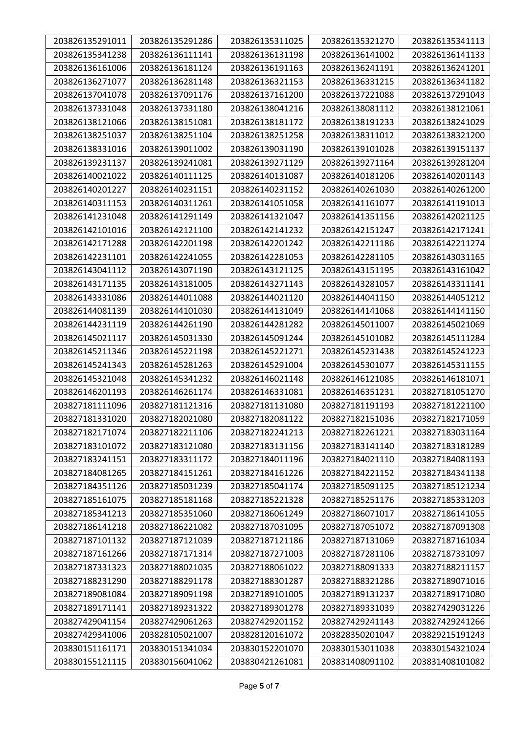| 203826135291011 | 203826135291286 | 203826135311025 | 203826135321270 | 203826135341113 |
|-----------------|-----------------|-----------------|-----------------|-----------------|
| 203826135341238 | 203826136111141 | 203826136131198 | 203826136141002 | 203826136141133 |
| 203826136161006 | 203826136181124 | 203826136191163 | 203826136241191 | 203826136241201 |
| 203826136271077 | 203826136281148 | 203826136321153 | 203826136331215 | 203826136341182 |
| 203826137041078 | 203826137091176 | 203826137161200 | 203826137221088 | 203826137291043 |
| 203826137331048 | 203826137331180 | 203826138041216 | 203826138081112 | 203826138121061 |
| 203826138121066 | 203826138151081 | 203826138181172 | 203826138191233 | 203826138241029 |
| 203826138251037 | 203826138251104 | 203826138251258 | 203826138311012 | 203826138321200 |
| 203826138331016 | 203826139011002 | 203826139031190 | 203826139101028 | 203826139151137 |
| 203826139231137 | 203826139241081 | 203826139271129 | 203826139271164 | 203826139281204 |
| 203826140021022 | 203826140111125 | 203826140131087 | 203826140181206 | 203826140201143 |
| 203826140201227 | 203826140231151 | 203826140231152 | 203826140261030 | 203826140261200 |
| 203826140311153 | 203826140311261 | 203826141051058 | 203826141161077 | 203826141191013 |
| 203826141231048 | 203826141291149 | 203826141321047 | 203826141351156 | 203826142021125 |
| 203826142101016 | 203826142121100 | 203826142141232 | 203826142151247 | 203826142171241 |
| 203826142171288 | 203826142201198 | 203826142201242 | 203826142211186 | 203826142211274 |
| 203826142231101 | 203826142241055 | 203826142281053 | 203826142281105 | 203826143031165 |
| 203826143041112 | 203826143071190 | 203826143121125 | 203826143151195 | 203826143161042 |
| 203826143171135 | 203826143181005 | 203826143271143 | 203826143281057 | 203826143311141 |
| 203826143331086 | 203826144011088 | 203826144021120 | 203826144041150 | 203826144051212 |
| 203826144081139 | 203826144101030 | 203826144131049 | 203826144141068 | 203826144141150 |
| 203826144231119 | 203826144261190 | 203826144281282 | 203826145011007 | 203826145021069 |
| 203826145021117 | 203826145031330 | 203826145091244 | 203826145101082 | 203826145111284 |
| 203826145211346 | 203826145221198 | 203826145221271 | 203826145231438 | 203826145241223 |
| 203826145241343 | 203826145281263 | 203826145291004 | 203826145301077 | 203826145311155 |
| 203826145321048 | 203826145341232 | 203826146021148 | 203826146121085 | 203826146181071 |
| 203826146201193 | 203826146261174 | 203826146331081 | 203826146351231 | 203827181051270 |
| 203827181111096 | 203827181121316 | 203827181131080 | 203827181191193 | 203827181221100 |
| 203827181331020 | 203827182021080 | 203827182081122 | 203827182151036 | 203827182171059 |
| 203827182171074 | 203827182211106 | 203827182241213 | 203827182261221 | 203827183031164 |
| 203827183101072 | 203827183121080 | 203827183131156 | 203827183141140 | 203827183181289 |
| 203827183241151 | 203827183311172 | 203827184011196 | 203827184021110 | 203827184081193 |
| 203827184081265 | 203827184151261 | 203827184161226 | 203827184221152 | 203827184341138 |
| 203827184351126 | 203827185031239 | 203827185041174 | 203827185091125 | 203827185121234 |
| 203827185161075 | 203827185181168 | 203827185221328 | 203827185251176 | 203827185331203 |
| 203827185341213 | 203827185351060 | 203827186061249 | 203827186071017 | 203827186141055 |
| 203827186141218 | 203827186221082 | 203827187031095 | 203827187051072 | 203827187091308 |
| 203827187101132 | 203827187121039 | 203827187121186 | 203827187131069 | 203827187161034 |
| 203827187161266 | 203827187171314 | 203827187271003 | 203827187281106 | 203827187331097 |
| 203827187331323 | 203827188021035 | 203827188061022 | 203827188091333 | 203827188211157 |
| 203827188231290 | 203827188291178 | 203827188301287 | 203827188321286 | 203827189071016 |
| 203827189081084 | 203827189091198 | 203827189101005 | 203827189131237 | 203827189171080 |
| 203827189171141 | 203827189231322 | 203827189301278 | 203827189331039 | 203827429031226 |
| 203827429041154 | 203827429061263 | 203827429201152 | 203827429241143 | 203827429241266 |
| 203827429341006 | 203828105021007 | 203828120161072 | 203828350201047 | 203829215191243 |
| 203830151161171 | 203830151341034 | 203830152201070 | 203830153011038 | 203830154321024 |
| 203830155121115 | 203830156041062 | 203830421261081 | 203831408091102 | 203831408101082 |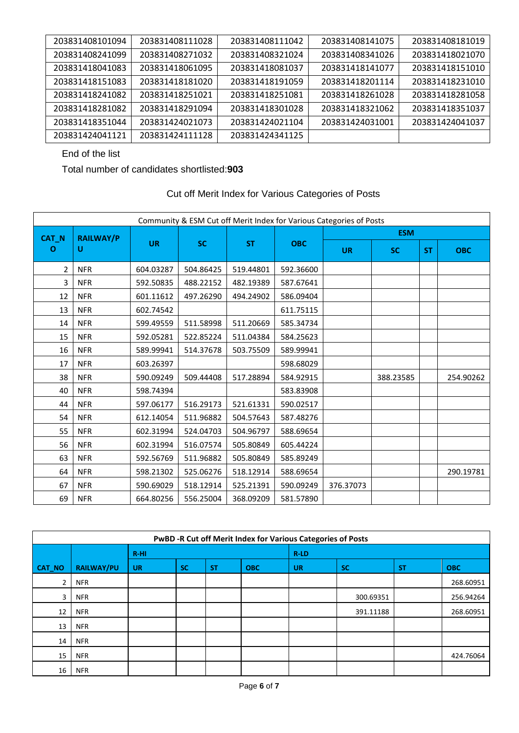| 203831408101094 | 203831408111028 | 203831408111042 | 203831408141075 | 203831408181019 |
|-----------------|-----------------|-----------------|-----------------|-----------------|
| 203831408241099 | 203831408271032 | 203831408321024 | 203831408341026 | 203831418021070 |
| 203831418041083 | 203831418061095 | 203831418081037 | 203831418141077 | 203831418151010 |
| 203831418151083 | 203831418181020 | 203831418191059 | 203831418201114 | 203831418231010 |
| 203831418241082 | 203831418251021 | 203831418251081 | 203831418261028 | 203831418281058 |
| 203831418281082 | 203831418291094 | 203831418301028 | 203831418321062 | 203831418351037 |
| 203831418351044 | 203831424021073 | 203831424021104 | 203831424031001 | 203831424041037 |
| 203831424041121 | 203831424111128 | 203831424341125 |                 |                 |

End of the list

Total number of candidates shortlisted:**903**

| Cut off Merit Index for Various Categories of Posts |  |
|-----------------------------------------------------|--|
|-----------------------------------------------------|--|

|                | Community & ESM Cut off Merit Index for Various Categories of Posts |           |           |           |            |           |            |           |            |  |  |
|----------------|---------------------------------------------------------------------|-----------|-----------|-----------|------------|-----------|------------|-----------|------------|--|--|
| CAT_N          | <b>RAILWAY/P</b>                                                    |           |           |           |            |           | <b>ESM</b> |           |            |  |  |
| O              | U                                                                   | <b>UR</b> | <b>SC</b> | <b>ST</b> | <b>OBC</b> | <b>UR</b> | <b>SC</b>  | <b>ST</b> | <b>OBC</b> |  |  |
| $\overline{2}$ | <b>NFR</b>                                                          | 604.03287 | 504.86425 | 519.44801 | 592.36600  |           |            |           |            |  |  |
| 3              | <b>NFR</b>                                                          | 592.50835 | 488.22152 | 482.19389 | 587.67641  |           |            |           |            |  |  |
| 12             | <b>NFR</b>                                                          | 601.11612 | 497.26290 | 494.24902 | 586.09404  |           |            |           |            |  |  |
| 13             | <b>NFR</b>                                                          | 602.74542 |           |           | 611.75115  |           |            |           |            |  |  |
| 14             | <b>NFR</b>                                                          | 599.49559 | 511.58998 | 511.20669 | 585.34734  |           |            |           |            |  |  |
| 15             | <b>NFR</b>                                                          | 592.05281 | 522.85224 | 511.04384 | 584.25623  |           |            |           |            |  |  |
| 16             | <b>NFR</b>                                                          | 589.99941 | 514.37678 | 503.75509 | 589.99941  |           |            |           |            |  |  |
| 17             | <b>NFR</b>                                                          | 603.26397 |           |           | 598.68029  |           |            |           |            |  |  |
| 38             | <b>NFR</b>                                                          | 590.09249 | 509.44408 | 517.28894 | 584.92915  |           | 388.23585  |           | 254.90262  |  |  |
| 40             | <b>NFR</b>                                                          | 598.74394 |           |           | 583.83908  |           |            |           |            |  |  |
| 44             | <b>NFR</b>                                                          | 597.06177 | 516.29173 | 521.61331 | 590.02517  |           |            |           |            |  |  |
| 54             | <b>NFR</b>                                                          | 612.14054 | 511.96882 | 504.57643 | 587.48276  |           |            |           |            |  |  |
| 55             | <b>NFR</b>                                                          | 602.31994 | 524.04703 | 504.96797 | 588.69654  |           |            |           |            |  |  |
| 56             | <b>NFR</b>                                                          | 602.31994 | 516.07574 | 505.80849 | 605.44224  |           |            |           |            |  |  |
| 63             | <b>NFR</b>                                                          | 592.56769 | 511.96882 | 505.80849 | 585.89249  |           |            |           |            |  |  |
| 64             | <b>NFR</b>                                                          | 598.21302 | 525.06276 | 518.12914 | 588.69654  |           |            |           | 290.19781  |  |  |
| 67             | <b>NFR</b>                                                          | 590.69029 | 518.12914 | 525.21391 | 590.09249  | 376.37073 |            |           |            |  |  |
| 69             | <b>NFR</b>                                                          | 664.80256 | 556.25004 | 368.09209 | 581.57890  |           |            |           |            |  |  |

| PwBD -R Cut off Merit Index for Various Categories of Posts |                   |           |           |           |            |           |           |           |            |  |
|-------------------------------------------------------------|-------------------|-----------|-----------|-----------|------------|-----------|-----------|-----------|------------|--|
|                                                             |                   | $R-HI$    |           |           |            | R-LD      |           |           |            |  |
| CAT_NO                                                      | <b>RAILWAY/PU</b> | <b>UR</b> | <b>SC</b> | <b>ST</b> | <b>OBC</b> | <b>UR</b> | <b>SC</b> | <b>ST</b> | <b>OBC</b> |  |
| $\overline{2}$                                              | <b>NFR</b>        |           |           |           |            |           |           |           | 268.60951  |  |
| 3                                                           | <b>NFR</b>        |           |           |           |            |           | 300.69351 |           | 256.94264  |  |
| 12                                                          | <b>NFR</b>        |           |           |           |            |           | 391.11188 |           | 268.60951  |  |
| 13                                                          | <b>NFR</b>        |           |           |           |            |           |           |           |            |  |
| 14                                                          | <b>NFR</b>        |           |           |           |            |           |           |           |            |  |
| 15                                                          | <b>NFR</b>        |           |           |           |            |           |           |           | 424.76064  |  |
| 16                                                          | <b>NFR</b>        |           |           |           |            |           |           |           |            |  |